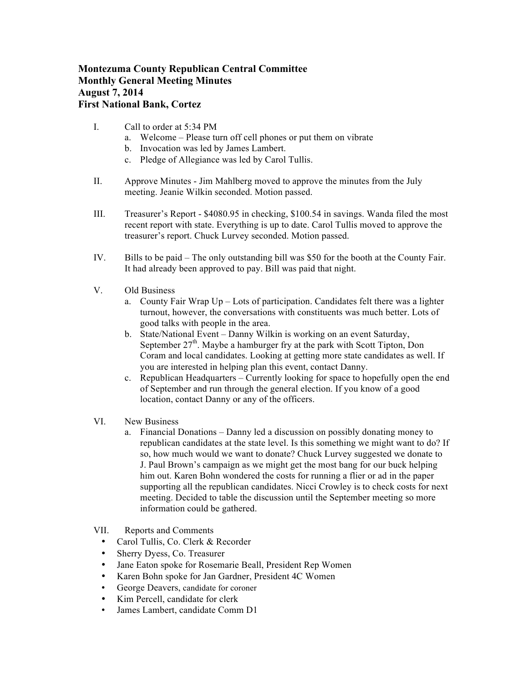## **Montezuma County Republican Central Committee Monthly General Meeting Minutes August 7, 2014 First National Bank, Cortez**

- I. Call to order at 5:34 PM
	- a. Welcome Please turn off cell phones or put them on vibrate
	- b. Invocation was led by James Lambert.
	- c. Pledge of Allegiance was led by Carol Tullis.
- II. Approve Minutes Jim Mahlberg moved to approve the minutes from the July meeting. Jeanie Wilkin seconded. Motion passed.
- III. Treasurer's Report \$4080.95 in checking, \$100.54 in savings. Wanda filed the most recent report with state. Everything is up to date. Carol Tullis moved to approve the treasurer's report. Chuck Lurvey seconded. Motion passed.
- IV. Bills to be paid The only outstanding bill was \$50 for the booth at the County Fair. It had already been approved to pay. Bill was paid that night.
- V. Old Business
	- a. County Fair Wrap Up Lots of participation. Candidates felt there was a lighter turnout, however, the conversations with constituents was much better. Lots of good talks with people in the area.
	- b. State/National Event Danny Wilkin is working on an event Saturday, September  $27<sup>th</sup>$ . Maybe a hamburger fry at the park with Scott Tipton, Don Coram and local candidates. Looking at getting more state candidates as well. If you are interested in helping plan this event, contact Danny.
	- c. Republican Headquarters Currently looking for space to hopefully open the end of September and run through the general election. If you know of a good location, contact Danny or any of the officers.
- VI. New Business
	- a. Financial Donations Danny led a discussion on possibly donating money to republican candidates at the state level. Is this something we might want to do? If so, how much would we want to donate? Chuck Lurvey suggested we donate to J. Paul Brown's campaign as we might get the most bang for our buck helping him out. Karen Bohn wondered the costs for running a flier or ad in the paper supporting all the republican candidates. Nicci Crowley is to check costs for next meeting. Decided to table the discussion until the September meeting so more information could be gathered.
- VII. Reports and Comments
	- Carol Tullis, Co. Clerk & Recorder
	- Sherry Dyess, Co. Treasurer
	- Jane Eaton spoke for Rosemarie Beall, President Rep Women
	- Karen Bohn spoke for Jan Gardner, President 4C Women
	- George Deavers, candidate for coroner
	- Kim Percell, candidate for clerk
	- James Lambert, candidate Comm D1